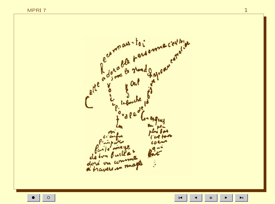$\circ$ 



 $\bar{\mathbf{H}}$ 

 $\blacktriangleright$ l

 $\mathbf{1}$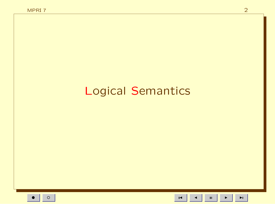## **Logical Semantics**

 $\mathbf{H}^{\dagger}$  $\blacktriangleright$ 

 $\blacksquare$ 

 $\blacktriangleright$  l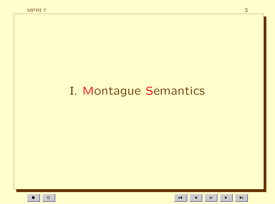## I. Montague Semantics

 $\blacksquare$ 

 $\mathbf{H}^{\dagger}$ 

 $\blacktriangleright$ 

 $\blacktriangleright$  l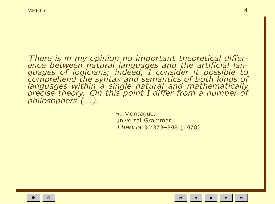There is in my opinion no important theoretical difference between natural languages and the artificial languages of logicians; indeed, I consider it possible to comprehend the syntax and semantics of both kinds of languages within a single natural and mathematically precise theory. On this point I differ from a number of philosophers (...).

> R. Montague, Universal Grammar, Theoria 36:373–398 (1970)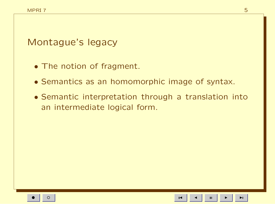Montague's legacy

- The notion of fragment.
- Semantics as an homomorphic image of syntax.
- Semantic interpretation through a translation into an intermediate logical form.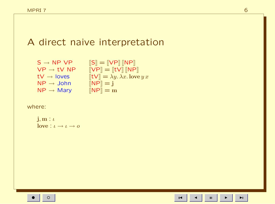## A direct naive interpretation

 $S \rightarrow NP VP$   $[|S| = [VP] [NP]$  $\mathsf{VP}\to \mathsf{t}\mathsf{V}$   $\mathsf{NP}$   $\quad \llbracket \mathsf{VP} \rrbracket = \llbracket \mathsf{t}\mathsf{V} \rrbracket \llbracket \mathsf{NP} \rrbracket$ tV  $\rightarrow$  loves  $[[tV]] = \lambda y. \lambda x.$  love  $y x$  $NP \rightarrow John$   $[NP] = j$  $NP \rightarrow Mary$   $[NP] = m$ 

where:

$$
\begin{array}{l}\n\mathbf{j}, \mathbf{m} : \iota \\
\mathbf{love} : \iota \to \iota \to o\n\end{array}
$$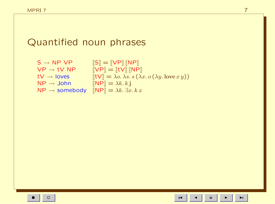## Quantified noun phrases

| $S \rightarrow NP VP$     | $\left\ S\right\  = \left\ VP\right\  \left\ NP\right\ $                           |
|---------------------------|------------------------------------------------------------------------------------|
| $VP \rightarrow tV NP$    | $\Vert VP \Vert = \Vert tV \Vert \Vert NP \Vert$                                   |
| $tV \rightarrow$ loves    | $[[t \vee]] = \lambda o. \lambda s. s (\lambda x. o(\lambda y. \text{love } x y))$ |
| $NP \rightarrow John$     | $\ \mathsf{NP}\  = \lambda k. k \mathbf{j}$                                        |
| $NP \rightarrow$ somebody | $\ \text{NP}\  = \lambda k. \exists x. k x$                                        |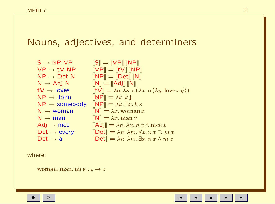## Nouns, adjectives, and determiners

| $S \rightarrow NP VP$     | $\left\ S\right\  = \left\ VP\right\  \left\ NP\right\ $                                                     |
|---------------------------|--------------------------------------------------------------------------------------------------------------|
| $VP \rightarrow tV NP$    | $\llbracket \mathsf{VP} \rrbracket = \llbracket \mathsf{tV} \rrbracket \, \llbracket \mathsf{NP} \rrbracket$ |
| $NP \rightarrow Det N$    | $\llbracket \textsf{NP} \rrbracket = \llbracket \textsf{Det} \rrbracket \, \llbracket \textsf{N} \rrbracket$ |
| $N \rightarrow Adj N$     | $\llbracket \mathsf{N} \rrbracket = \llbracket \mathsf{Adj} \rrbracket \, \llbracket \mathsf{N} \rrbracket$  |
| $tV \rightarrow$ loves    | $[\[\mathsf{t} \mathsf{V}]] = \lambda o. \lambda s. s (\lambda x. o(\lambda y. \text{love } x y))$           |
| $NP \rightarrow John$     | $\mathbb{R} \mathbb{P} \mathbb{R} = \lambda k. k \mathbf{j}$                                                 |
| $NP \rightarrow$ somebody | $\mathbb{R} \mathbb{P} \mathbb{R} = \lambda k. \exists x. k x$                                               |
| $N \rightarrow woman$     | $\mathbb{N} = \lambda x.$ woman x                                                                            |
| $N \rightarrow man$       | $\mathbb{N} = \lambda x$ . man x                                                                             |
| $Adj \rightarrow nice$    | $\left\Vert \mathsf{Adj}\right\Vert =\lambda n.\lambda x.\, n\,x\wedge\textsf{nice}\,x$                      |
| Det $\rightarrow$ every   | $\Delta m \equiv \lambda n. \lambda m. \forall x. n x \supset m x$                                           |
| Det $\rightarrow$ a       | $\llbracket \mathsf{Det} \rrbracket = \lambda n. \, \lambda m. \, \exists x. \, n \, x \wedge m \, x$        |

where:

woman, man, nice :  $\iota \to o$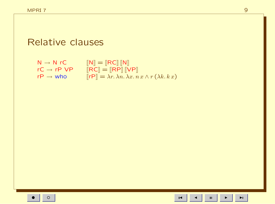### Relative clauses

 $N \rightarrow N$  rC  $[[N]] = [[RC]] [[N]]$  $rC \rightarrow rP \; VP \qquad [\![RC]\!] = [\![RP]\!] [\![VP]\!]$  $r\mathsf{P} \to \mathsf{who} \qquad [\![\mathsf{r}\mathsf{P}]\!] = \lambda r.\, \lambda n.\, \lambda x.\, n\, x \wedge r\, (\lambda k.\, k\, x)$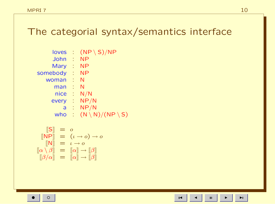## The categorial syntax/semantics interface

| loves    | O  | $(NP \ S)/NP$                      |
|----------|----|------------------------------------|
| John     | ÷. | <b>NP</b>                          |
| Mary     | ÷  | <b>NP</b>                          |
| somebody | ۰  | <b>NP</b>                          |
| woman    |    | N                                  |
| man      | ÷, | N                                  |
| nice     | 4  | N/N                                |
| every    | ÷. | NP/N                               |
| a        | O  | NP/N                               |
| who      |    | $(N \setminus N)/(NP \setminus S)$ |
|          |    |                                    |

$$
\begin{array}{rcl}\n\llbracket \mathsf{S} \rrbracket & = & o \\
\llbracket \mathsf{NP} \rrbracket & = & (\iota \to o) \to o \\
\llbracket \mathsf{N} \rrbracket & = & \iota \to o \\
\llbracket \alpha \setminus \beta \rrbracket & = & \llbracket \alpha \rrbracket \to \llbracket \beta \rrbracket \\
\llbracket \beta / \alpha \rrbracket & = & \llbracket \alpha \rrbracket \to \llbracket \beta \rrbracket\n\end{array}
$$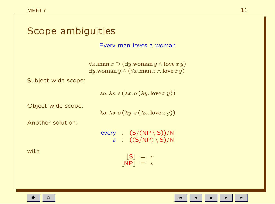| Scope ambiguities   |                                                                                                                                                              |  |  |
|---------------------|--------------------------------------------------------------------------------------------------------------------------------------------------------------|--|--|
|                     | Every man loves a woman                                                                                                                                      |  |  |
|                     | $\forall x.\text{man } x \supset (\exists y.\text{woman } y \wedge \text{love } x y)$<br>$\exists y.$ woman $y \wedge (\forall x.$ man $x \wedge$ love $xy)$ |  |  |
| Subject wide scope: |                                                                                                                                                              |  |  |
|                     | $\lambda$ o. $\lambda$ s. s $(\lambda x. o(\lambda y.$ love $x y))$                                                                                          |  |  |
| Object wide scope:  | $\lambda$ o. $\lambda$ s. o $(\lambda y. s (\lambda x. \text{love } x y))$                                                                                   |  |  |
| Another solution:   |                                                                                                                                                              |  |  |
|                     | every : $(S/(NP \setminus S))/N$<br>a : $((S/NP) \setminus S)/N$                                                                                             |  |  |
| with                | $\llbracket \mathsf{S} \rrbracket = o$<br>$\mathbb{P} \mathbb{P} \mathbb{P} \mathbb{P} = \mathbb{P}$                                                         |  |  |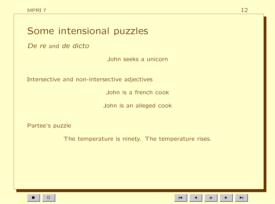## Some intensional puzzles

De re and de dicto

John seeks a unicorn

Intersective and non-intersective adjectives

John is a french cook

John is an alleged cook

Partee's puzzle

The temperature is ninety. The temperature rises.

 $\mathbf H$ 

 $\blacktriangleright$ l

 $\overline{1}$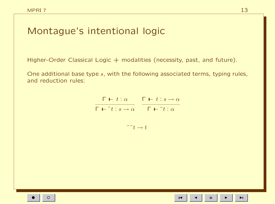## Montague's intentional logic

Higher-Order Classical Logic  $+$  modalities (necessity, past, and future).

One additional base type s, with the following associated terms, typing rules, and reduction rules:

$$
\frac{\Gamma \vdash t : \alpha}{\Gamma \vdash \hat{} t : s \to \alpha} \quad \frac{\Gamma \vdash t : s \to \alpha}{\Gamma \vdash \check{} t : \alpha}
$$

 $\tilde{\phantom{a}}^t \rightarrow t$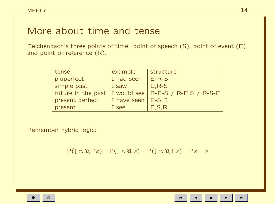### More about time and tense

Reichenbach's three points of time: point of speech (S), point of event (E), and point of reference (R).

| tense              | example     | structure                                 |
|--------------------|-------------|-------------------------------------------|
| pluperfect         | I had seen  | $E-R-S$                                   |
| simple past        | I saw       | $E, R-S$                                  |
| future in the past |             | I would see $\vert$ R-E-S / R-E,S / R-S-E |
| present perfect    | I have seen | $E-S.R$                                   |
| present            | I see       | E, S, R                                   |

Remember hybrid logic:

 $P(\downarrow r. \mathbb{Q}_r P \phi)$   $P(\downarrow r. \mathbb{Q}_r \phi)$   $P(\downarrow r. \mathbb{Q}_r F \phi)$   $P \phi \phi$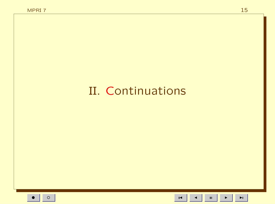# II. Continuations

 $\blacksquare$ 

 $\mathbf{H}^{\dagger}$ 

 $\blacktriangleright$ 

 $\blacktriangleright$  l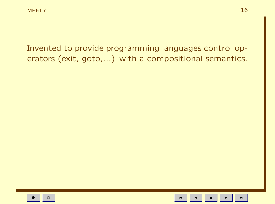Invented to provide programming languages control operators (exit, goto,...) with a compositional semantics.

 $\mathbf{H}$ 

 $\overline{1}$ 

ÞI.

16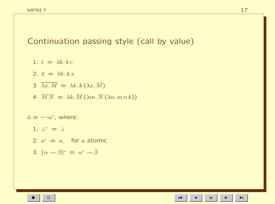Continuation passing style (call by value)

- 1.  $\bar{c} = \lambda k, k c$
- 2.  $\overline{x} = \lambda k, k x$
- 3.  $\overline{\lambda x.M} = \lambda k.k(\lambda x.\overline{M})$
- 4.  $\overline{MN} = \lambda k \cdot \overline{M} (\lambda m \cdot \overline{N} (\lambda n \cdot m n k))$

 $\overline{\alpha} = \neg \neg \alpha^*$ , where:

- 1.  $\perp^* = \perp$
- 2.  $a^* = a$ , for a atomic
- 3.  $(\alpha \to \beta)^* = \alpha^* \to \overline{\beta}$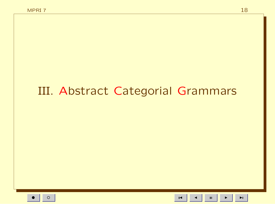## III. Abstract Categorial Grammars

 $\mathbf{H}$  $\blacksquare$ 

 $\blacktriangleright$ l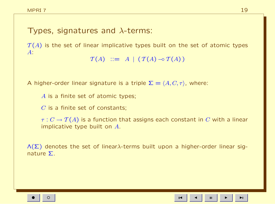### Types, signatures and  $\lambda$ -terms:

 $T(A)$  is the set of linear implicative types built on the set of atomic types A:

```
\mathcal{T}(A) ::= A | (\mathcal{T}(A) \neg \circ \mathcal{T}(A))
```
A higher-order linear signature is a triple  $\Sigma = \langle A, C, \tau \rangle$ , where:

A is a finite set of atomic types;

 $C$  is a finite set of constants:

 $\tau: C \to \mathcal{T}(A)$  is a function that assigns each constant in C with a linear implicative type built on A.

 $\Lambda(\Sigma)$  denotes the set of linear $\lambda$ -terms built upon a higher-order linear signature Σ.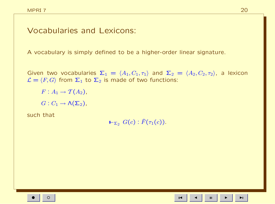#### Vocabularies and Lexicons:

A vocabulary is simply defined to be a higher-order linear signature.

Given two vocabularies  $\Sigma_1 = \langle A_1, C_1, \tau_1 \rangle$  and  $\Sigma_2 = \langle A_2, C_2, \tau_2 \rangle$ , a lexicon  $\mathcal{L} = \langle F, G \rangle$  from  $\Sigma_1$  to  $\Sigma_2$  is made of two functions:

 $F: A_1 \rightarrow \mathcal{T}(A_2),$ 

 $G: C_1 \to \Lambda(\Sigma_2)$ ,

such that

 $\vdash_{\Sigma_2} G(c)$ :  $\widehat{F}(\tau_1(c))$ .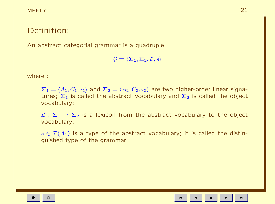### Definition:

An abstract categorial grammar is a quadruple

 $\mathcal{G} = \langle \Sigma_1, \Sigma_2, \mathcal{L}, s \rangle$ 

where :

 $\Sigma_1 = \langle A_1, C_1, \tau_1 \rangle$  and  $\Sigma_2 = \langle A_2, C_2, \tau_2 \rangle$  are two higher-order linear signatures;  $\Sigma_1$  is called the abstract vocabulary and  $\Sigma_2$  is called the object vocabulary;

 $\mathcal{L} : \Sigma_1 \to \Sigma_2$  is a lexicon from the abstract vocabulary to the object vocabulary;

 $s \in \mathcal{T}(A_1)$  is a type of the abstract vocabulary; it is called the distinguished type of the grammar.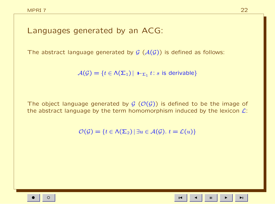#### Languages generated by an ACG:

The abstract language generated by  $G(\mathcal{A}(G))$  is defined as follows:

 $\mathcal{A}(\mathcal{G}) = \{t \in \mathcal{N}(\mathsf{\Sigma}_1) \, | \, \mathsf{L}_{\mathsf{\Sigma}_1} t : s \text{ is derivable}\}$ 

The object language generated by  $G(\mathcal{O}(G))$  is defined to be the image of the abstract language by the term homomorphism induced by the lexicon  $\mathcal{L}$ :

 $\mathcal{O}(\mathcal{G}) = \{t \in \Lambda(\Sigma_2) \mid \exists u \in \mathcal{A}(\mathcal{G}), t = \mathcal{L}(u)\}\$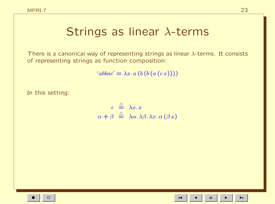## Strings as linear λ-terms

There is a canonical way of representing strings as linear  $\lambda$ -terms. It consists of representing strings as function composition:

 $'abbac' = \lambda x. a (b (b (a (c x))))$ 

In this setting:

$$
\epsilon \stackrel{\triangle}{=} \lambda x. x
$$
  

$$
\alpha + \beta \stackrel{\triangle}{=} \lambda \alpha. \lambda \beta. \lambda x. \alpha (\beta x)
$$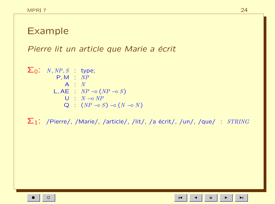## Example

Pierre lit un article que Marie a écrit

$$
\Sigma_0: N, NP, S : type; \nP, M : NP \nA : N \nL, AE : NP \rightarrow (NP \rightarrow S) \nU : N \rightarrow NP \nQ : (NP \rightarrow S) \rightarrow (N \rightarrow N)
$$

 $\Sigma_1$ : /Pierre/, /Marie/, /article/, /lit/, /a écrit/, /un/, /que/ :  $STRING$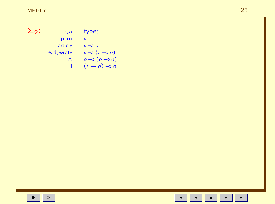$\Sigma_2$ :

 $\iota, o$  : type;  $\mathbf{p},\mathbf{m} \in \mathcal{U}$ article :  $\iota \rightarrow o$ read, wrote  $\therefore$   $\iota \neg o(\iota \neg o o)$  $\begin{array}{rcl} \wedge & : & o \multimap (o \multimap o) \\ \exists & : & (\iota \to o) \multimap o \end{array}$ 

 $\blacksquare$ 

 $\blacktriangleright$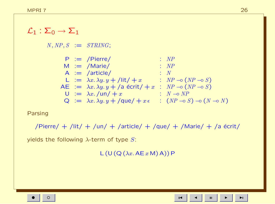#### $\mathcal{L}_1 : \Sigma_0 \rightarrow \Sigma_1$

 $N, NP, S := STRING;$ 

| $P := \text{Pierre/}$                                    | : $NP$                                               |
|----------------------------------------------------------|------------------------------------------------------|
| $M := \text{Marie/}$                                     | : $NP$                                               |
| $A := \text{article/}$                                   | : $N$                                                |
| $L := \lambda x. \lambda y. y + \text{lit/} + x$         | : $NP \rightarrow (NP \rightarrow S)$                |
| $AE := \lambda x. \lambda y. y + \text{aa (scrit/} + x)$ | : $NP \rightarrow (NP \rightarrow S)$                |
| $U := \lambda x. \text{au/} + x$                         | : $N \rightarrow NP$                                 |
| $Q := \lambda x. \lambda y. y + \text{que/} + x \in$     | : $(NP \rightarrow S) \rightarrow (N \rightarrow N)$ |

#### Parsing

/Pierre/ + /lit/ + /un/ + /article/ + /que/ + /Marie/ + /a  $\acute{e}$ crit/

yields the following  $\lambda$ -term of type S:

 $L (U (Q (\lambda x. A E x M) A)) P$